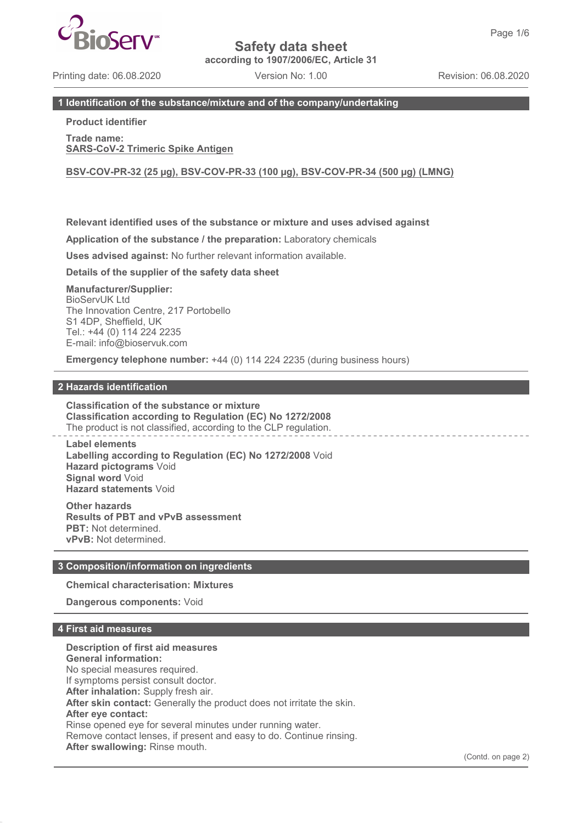**according to 1907/2006/EC, Article 31**

Printing date: 06.08.2020 Version No: 1.00 Revision: 06.08.2020

## **1 Identification of the substance/mixture and of the company/undertaking**

## **Product identifier**

**Trade name: SARS-CoV-2 Trimeric Spike Antigen**

**BSV-COV-PR-32 (25 µg), BSV-COV-PR-33 (100 µg), BSV-COV-PR-34 (500 µg) (LMNG)**

## **Relevant identified uses of the substance or mixture and uses advised against**

**Application of the substance / the preparation:** Laboratory chemicals

**Uses advised against:** No further relevant information available.

**Details of the supplier of the safety data sheet**

**Manufacturer/Supplier:** BioServUK Ltd The Innovation Centre, 217 Portobello S1 4DP, Sheffield, UK Tel.: +44 (0) 114 224 2235 E-mail: info@bioservuk.com

**Emergency telephone number:** +44 (0) 114 224 2235 (during business hours)

### **2 Hazards identification**

**Classification of the substance or mixture Classification according to Regulation (EC) No 1272/2008** The product is not classified, according to the CLP regulation.

**Label elements Labelling according to Regulation (EC) No 1272/2008** Void **Hazard pictograms** Void **Signal word** Void **Hazard statements** Void

**Other hazards Results of PBT and vPvB assessment PBT:** Not determined. **vPvB:** Not determined.

## **3 Composition/information on ingredients**

**Chemical characterisation: Mixtures**

**Dangerous components:** Void

## **4 First aid measures**

**Description of first aid measures General information:** No special measures required. If symptoms persist consult doctor. **After inhalation:** Supply fresh air. **After skin contact:** Generally the product does not irritate the skin. **After eye contact:** Rinse opened eye for several minutes under running water. Remove contact lenses, if present and easy to do. Continue rinsing. **After swallowing:** Rinse mouth.

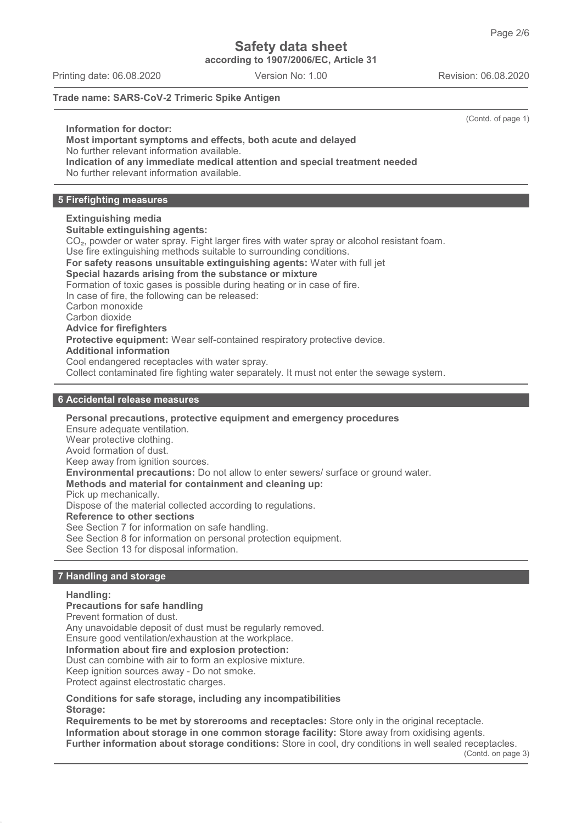**according to 1907/2006/EC, Article 31**

Printing date: 06.08.2020 Version No: 1.00 Revision: 06.08.2020

(Contd. of page 1)

**Trade name: SARS-CoV-2 Trimeric Spike Antigen**

**Information for doctor:**

## **Most important symptoms and effects, both acute and delayed**

No further relevant information available.

**Indication of any immediate medical attention and special treatment needed** No further relevant information available.

## **5 Firefighting measures**

## **Extinguishing media**

**Suitable extinguishing agents:** CO₂, powder or water spray. Fight larger fires with water spray or alcohol resistant foam. Use fire extinguishing methods suitable to surrounding conditions. **For safety reasons unsuitable extinguishing agents:** Water with full jet **Special hazards arising from the substance or mixture** Formation of toxic gases is possible during heating or in case of fire. In case of fire, the following can be released: Carbon monoxide Carbon dioxide **Advice for firefighters Protective equipment:** Wear self-contained respiratory protective device. **Additional information** Cool endangered receptacles with water spray. Collect contaminated fire fighting water separately. It must not enter the sewage system.

## **6 Accidental release measures**

**Personal precautions, protective equipment and emergency procedures** Ensure adequate ventilation. Wear protective clothing. Avoid formation of dust. Keep away from ignition sources. **Environmental precautions:** Do not allow to enter sewers/ surface or ground water. **Methods and material for containment and cleaning up:** Pick up mechanically. Dispose of the material collected according to regulations. **Reference to other sections** See Section 7 for information on safe handling. See Section 8 for information on personal protection equipment.

See Section 13 for disposal information.

## **7 Handling and storage**

#### **Handling:**

**Precautions for safe handling** Prevent formation of dust. Any unavoidable deposit of dust must be regularly removed. Ensure good ventilation/exhaustion at the workplace. **Information about fire and explosion protection:** Dust can combine with air to form an explosive mixture. Keep ignition sources away - Do not smoke. Protect against electrostatic charges.

**Conditions for safe storage, including any incompatibilities Storage:**

**Requirements to be met by storerooms and receptacles:** Store only in the original receptacle. **Information about storage in one common storage facility:** Store away from oxidising agents. **Further information about storage conditions:** Store in cool, dry conditions in well sealed receptacles.

(Contd. on page 3)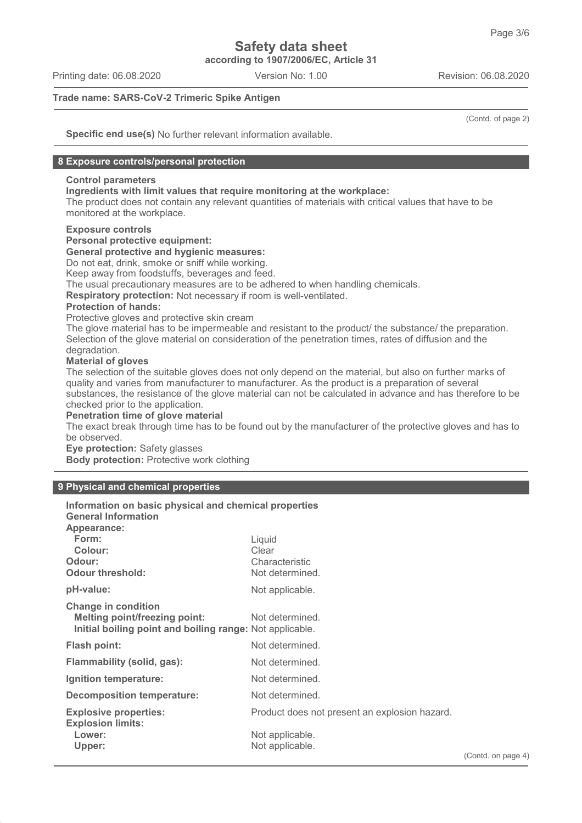**according to 1907/2006/EC, Article 31**

Printing date: 06.08.2020 Version No: 1.00 Revision: 06.08.2020

**Trade name: SARS-CoV-2 Trimeric Spike Antigen**

(Contd. of page 2)

**Specific end use(s)** No further relevant information available.

### **8 Exposure controls/personal protection**

## **Control parameters**

**Ingredients with limit values that require monitoring at the workplace:**

The product does not contain any relevant quantities of materials with critical values that have to be monitored at the workplace.

## **Exposure controls**

**Personal protective equipment:**

#### **General protective and hygienic measures:**

Do not eat, drink, smoke or sniff while working.

Keep away from foodstuffs, beverages and feed.

The usual precautionary measures are to be adhered to when handling chemicals.

**Respiratory protection:** Not necessary if room is well-ventilated.

#### **Protection of hands:**

Protective gloves and protective skin cream

The glove material has to be impermeable and resistant to the product/ the substance/ the preparation. Selection of the glove material on consideration of the penetration times, rates of diffusion and the degradation.

## **Material of gloves**

The selection of the suitable gloves does not only depend on the material, but also on further marks of quality and varies from manufacturer to manufacturer. As the product is a preparation of several substances, the resistance of the glove material can not be calculated in advance and has therefore to be checked prior to the application.

### **Penetration time of glove material**

The exact break through time has to be found out by the manufacturer of the protective gloves and has to be observed.

**Eye protection:** Safety glasses

**Body protection:** Protective work clothing

## **9 Physical and chemical properties**

| Information on basic physical and chemical properties<br><b>General Information</b>                                            |                                               |        |
|--------------------------------------------------------------------------------------------------------------------------------|-----------------------------------------------|--------|
| Appearance:                                                                                                                    |                                               |        |
| Form:<br>Colour:                                                                                                               | Liquid<br>Clear                               |        |
| Odour:<br><b>Odour threshold:</b>                                                                                              | Characteristic<br>Not determined.             |        |
| pH-value:                                                                                                                      | Not applicable.                               |        |
| <b>Change in condition</b><br><b>Melting point/freezing point:</b><br>Initial boiling point and boiling range: Not applicable. | Not determined.                               |        |
| Flash point:                                                                                                                   | Not determined.                               |        |
| Flammability (solid, gas):                                                                                                     | Not determined.                               |        |
| Ignition temperature:                                                                                                          | Not determined.                               |        |
| Decomposition temperature:                                                                                                     | Not determined.                               |        |
| <b>Explosive properties:</b><br><b>Explosion limits:</b>                                                                       | Product does not present an explosion hazard. |        |
| Lower:<br>Upper:                                                                                                               | Not applicable.<br>Not applicable.            | (Contd |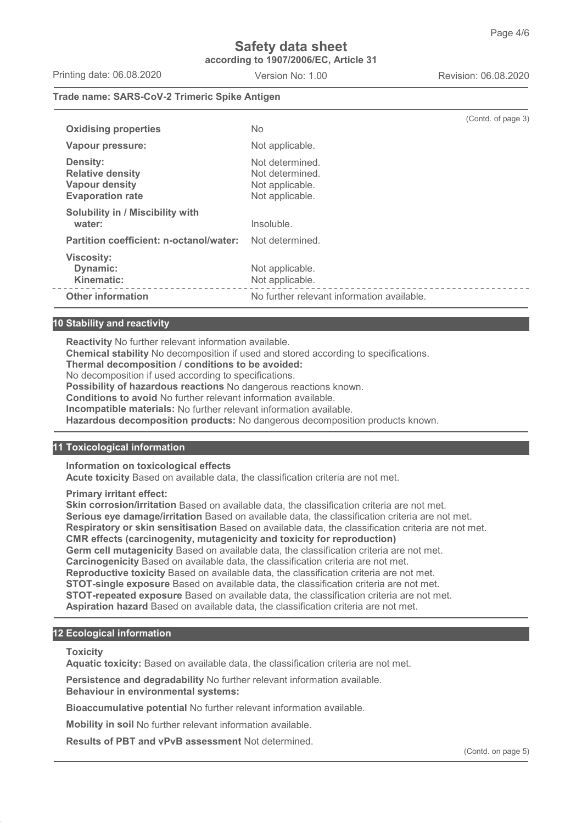## **Safety data sheet according to 1907/2006/EC, Article 31**

Printing date: 06.08.2020 Version No: 1.00 Revision: 06.08.2020

## **Trade name: SARS-CoV-2 Trimeric Spike Antigen**

|                                                                                                |                                                                          | (Contd. of page 3) |
|------------------------------------------------------------------------------------------------|--------------------------------------------------------------------------|--------------------|
| <b>Oxidising properties</b>                                                                    | No.                                                                      |                    |
| Vapour pressure:                                                                               | Not applicable.                                                          |                    |
| <b>Density:</b><br><b>Relative density</b><br><b>Vapour density</b><br><b>Evaporation rate</b> | Not determined.<br>Not determined.<br>Not applicable.<br>Not applicable. |                    |
| Solubility in / Miscibility with<br>water:                                                     | Insoluble.                                                               |                    |
| Partition coefficient: n-octanol/water:                                                        | Not determined.                                                          |                    |
| <b>Viscosity:</b><br>Dynamic:<br>Kinematic:                                                    | Not applicable.<br>Not applicable.                                       |                    |
| <b>Other information</b>                                                                       | No further relevant information available.                               |                    |

## **10 Stability and reactivity**

**Reactivity** No further relevant information available.

**Chemical stability** No decomposition if used and stored according to specifications.

**Thermal decomposition / conditions to be avoided:**

No decomposition if used according to specifications.

**Possibility of hazardous reactions** No dangerous reactions known.

**Conditions to avoid** No further relevant information available.

**Incompatible materials:** No further relevant information available.

**Hazardous decomposition products:** No dangerous decomposition products known.

## **11 Toxicological information**

**Information on toxicological effects**

**Acute toxicity** Based on available data, the classification criteria are not met.

**Primary irritant effect:**

**Skin corrosion/irritation** Based on available data, the classification criteria are not met. **Serious eye damage/irritation** Based on available data, the classification criteria are not met. **Respiratory or skin sensitisation** Based on available data, the classification criteria are not met. **CMR effects (carcinogenity, mutagenicity and toxicity for reproduction) Germ cell mutagenicity** Based on available data, the classification criteria are not met. **Carcinogenicity** Based on available data, the classification criteria are not met. **Reproductive toxicity** Based on available data, the classification criteria are not met. **STOT-single exposure** Based on available data, the classification criteria are not met. **STOT-repeated exposure** Based on available data, the classification criteria are not met. **Aspiration hazard** Based on available data, the classification criteria are not met.

## **12 Ecological information**

**Toxicity**

**Aquatic toxicity:** Based on available data, the classification criteria are not met.

**Persistence and degradability** No further relevant information available. **Behaviour in environmental systems:**

**Bioaccumulative potential** No further relevant information available.

**Mobility in soil** No further relevant information available.

**Results of PBT and vPvB assessment** Not determined.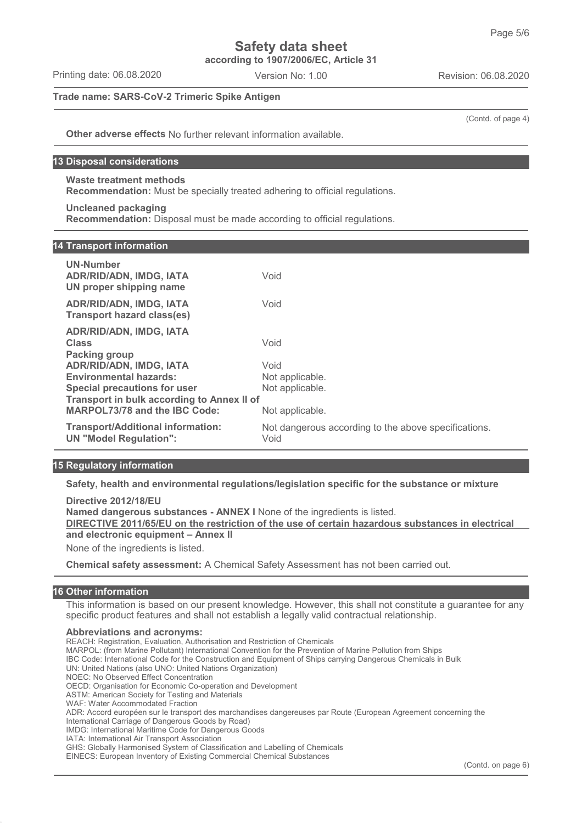**according to 1907/2006/EC, Article 31**

Printing date: 06.08.2020 Version No: 1.00 Revision: 06.08.2020

**Trade name: SARS-CoV-2 Trimeric Spike Antigen**

(Contd. of page 4)

**Other adverse effects** No further relevant information available.

## **13 Disposal considerations**

**Waste treatment methods**

**Recommendation:** Must be specially treated adhering to official regulations.

**Uncleaned packaging**

**Recommendation:** Disposal must be made according to official regulations.

## **14 Transport information**

| UN-Number<br>ADR/RID/ADN, IMDG, IATA<br>UN proper shipping name           | Void                                                         |  |
|---------------------------------------------------------------------------|--------------------------------------------------------------|--|
| <b>ADR/RID/ADN, IMDG, IATA</b><br>Transport hazard class(es)              | Void                                                         |  |
| <b>ADR/RID/ADN, IMDG, IATA</b><br><b>Class</b><br><b>Packing group</b>    | Void                                                         |  |
| <b>ADR/RID/ADN, IMDG, IATA</b>                                            | Void                                                         |  |
| <b>Environmental hazards:</b>                                             | Not applicable.                                              |  |
| Special precautions for user                                              | Not applicable.                                              |  |
| Transport in bulk according to Annex II of                                |                                                              |  |
| <b>MARPOL73/78 and the IBC Code:</b>                                      | Not applicable.                                              |  |
| <b>Transport/Additional information:</b><br><b>UN "Model Regulation":</b> | Not dangerous according to the above specifications.<br>Void |  |

## **15 Regulatory information**

**Safety, health and environmental regulations/legislation specific for the substance or mixture**

**Directive 2012/18/EU Named dangerous substances - ANNEX I** None of the ingredients is listed. **DIRECTIVE 2011/65/EU on the restriction of the use of certain hazardous substances in electrical and electronic equipment – Annex II** None of the ingredients is listed.

**Chemical safety assessment:** A Chemical Safety Assessment has not been carried out.

### **16 Other information**

This information is based on our present knowledge. However, this shall not constitute a guarantee for any specific product features and shall not establish a legally valid contractual relationship.

#### **Abbreviations and acronyms:**

- REACH: Registration, Evaluation, Authorisation and Restriction of Chemicals
- MARPOL: (from Marine Pollutant) International Convention for the Prevention of Marine Pollution from Ships
- IBC Code: International Code for the Construction and Equipment of Ships carrying Dangerous Chemicals in Bulk

UN: United Nations (also UNO: United Nations Organization)

NOEC: No Observed Effect Concentration

ASTM: American Society for Testing and Materials

International Carriage of Dangerous Goods by Road)

IMDG: International Maritime Code for Dangerous Goods

IATA: International Air Transport Association

GHS: Globally Harmonised System of Classification and Labelling of Chemicals

EINECS: European Inventory of Existing Commercial Chemical Substances

OECD: Organisation for Economic Co-operation and Development

WAF: Water Accommodated Fraction

ADR: Accord européen sur le transport des marchandises dangereuses par Route (European Agreement concerning the